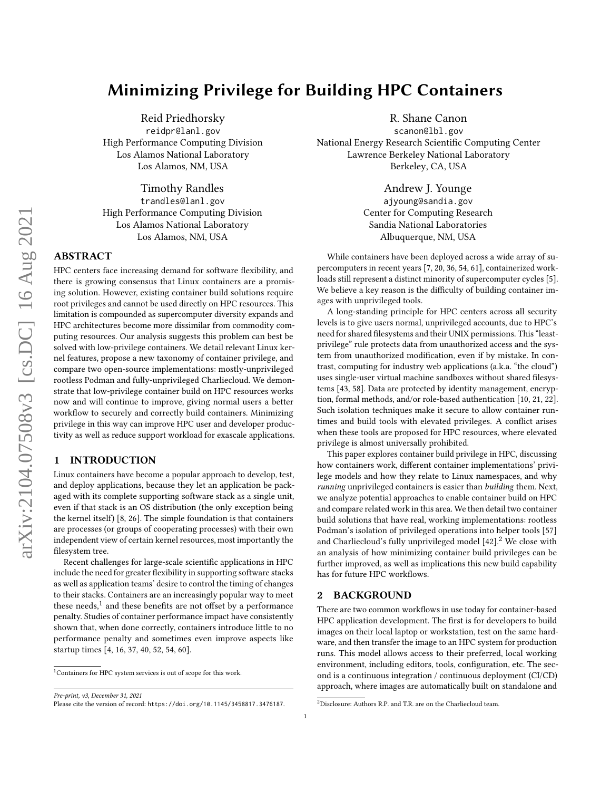# Minimizing Privilege for Building HPC Containers

Reid Priedhorsky reidpr@lanl.gov High Performance Computing Division Los Alamos National Laboratory Los Alamos, NM, USA

Timothy Randles trandles@lanl.gov High Performance Computing Division Los Alamos National Laboratory Los Alamos, NM, USA

## ABSTRACT

HPC centers face increasing demand for software flexibility, and there is growing consensus that Linux containers are a promising solution. However, existing container build solutions require root privileges and cannot be used directly on HPC resources. This limitation is compounded as supercomputer diversity expands and HPC architectures become more dissimilar from commodity computing resources. Our analysis suggests this problem can best be solved with low-privilege containers. We detail relevant Linux kernel features, propose a new taxonomy of container privilege, and compare two open-source implementations: mostly-unprivileged rootless Podman and fully-unprivileged Charliecloud. We demonstrate that low-privilege container build on HPC resources works now and will continue to improve, giving normal users a better workflow to securely and correctly build containers. Minimizing privilege in this way can improve HPC user and developer productivity as well as reduce support workload for exascale applications.

## 1 INTRODUCTION

Linux containers have become a popular approach to develop, test, and deploy applications, because they let an application be packaged with its complete supporting software stack as a single unit, even if that stack is an OS distribution (the only exception being the kernel itself) [\[8,](#page-11-0) [26\]](#page-11-1). The simple foundation is that containers are processes (or groups of cooperating processes) with their own independent view of certain kernel resources, most importantly the filesystem tree.

Recent challenges for large-scale scientific applications in HPC include the need for greater flexibility in supporting software stacks as well as application teams' desire to control the timing of changes to their stacks. Containers are an increasingly popular way to meet these needs,<sup>[1](#page-0-0)</sup> and these benefits are not offset by a performance penalty. Studies of container performance impact have consistently shown that, when done correctly, containers introduce little to no performance penalty and sometimes even improve aspects like startup times [\[4,](#page-10-0) [16,](#page-11-2) [37,](#page-11-3) [40,](#page-11-4) [52,](#page-11-5) [54,](#page-11-6) [60\]](#page-11-7).

Pre-print, v3, December 31, 2021

R. Shane Canon

scanon@lbl.gov National Energy Research Scientific Computing Center Lawrence Berkeley National Laboratory Berkeley, CA, USA

> Andrew J. Younge ajyoung@sandia.gov Center for Computing Research Sandia National Laboratories Albuquerque, NM, USA

While containers have been deployed across a wide array of supercomputers in recent years [\[7,](#page-11-8) [20,](#page-11-9) [36,](#page-11-10) [54,](#page-11-6) [61\]](#page-11-11), containerized workloads still represent a distinct minority of supercomputer cycles [\[5\]](#page-10-1). We believe a key reason is the difficulty of building container images with unprivileged tools.

A long-standing principle for HPC centers across all security levels is to give users normal, unprivileged accounts, due to HPC's need for shared filesystems and their UNIX permissions. This "leastprivilege" rule protects data from unauthorized access and the system from unauthorized modification, even if by mistake. In contrast, computing for industry web applications (a.k.a. "the cloud") uses single-user virtual machine sandboxes without shared filesystems [\[43,](#page-11-12) [58\]](#page-11-13). Data are protected by identity management, encryption, formal methods, and/or role-based authentication [\[10,](#page-11-14) [21,](#page-11-15) [22\]](#page-11-16). Such isolation techniques make it secure to allow container runtimes and build tools with elevated privileges. A conflict arises when these tools are proposed for HPC resources, where elevated privilege is almost universally prohibited.

This paper explores container build privilege in HPC, discussing how containers work, different container implementations' privilege models and how they relate to Linux namespaces, and why running unprivileged containers is easier than building them. Next, we analyze potential approaches to enable container build on HPC and compare related work in this area. We then detail two container build solutions that have real, working implementations: rootless Podman's isolation of privileged operations into helper tools [\[57\]](#page-11-17) and Charliecloud's fully unprivileged model  $[42]$ .<sup>[2](#page-0-1)</sup> We close with an analysis of how minimizing container build privileges can be further improved, as well as implications this new build capability has for future HPC workflows.

## <span id="page-0-2"></span>2 BACKGROUND

There are two common workflows in use today for container-based HPC application development. The first is for developers to build images on their local laptop or workstation, test on the same hardware, and then transfer the image to an HPC system for production runs. This model allows access to their preferred, local working environment, including editors, tools, configuration, etc. The second is a continuous integration / continuous deployment (CI/CD) approach, where images are automatically built on standalone and

<span id="page-0-0"></span><sup>1</sup>Containers for HPC system services is out of scope for this work.

Please cite the version of record: <https://doi.org/10.1145/3458817.3476187>.

<span id="page-0-1"></span><sup>2</sup>Disclosure: Authors R.P. and T.R. are on the Charliecloud team.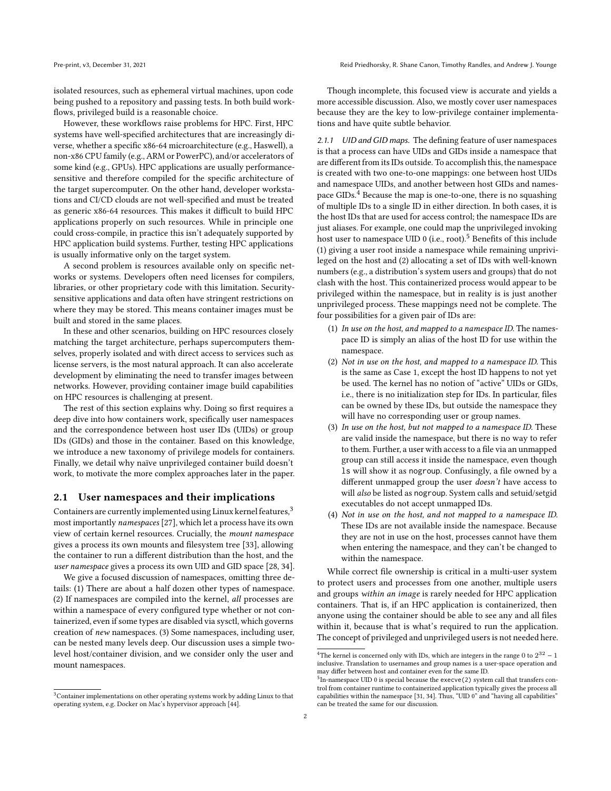isolated resources, such as ephemeral virtual machines, upon code being pushed to a repository and passing tests. In both build workflows, privileged build is a reasonable choice.

However, these workflows raise problems for HPC. First, HPC systems have well-specified architectures that are increasingly diverse, whether a specific x86-64 microarchitecture (e.g., Haswell), a non-x86 CPU family (e.g., ARM or PowerPC), and/or accelerators of some kind (e.g., GPUs). HPC applications are usually performancesensitive and therefore compiled for the specific architecture of the target supercomputer. On the other hand, developer workstations and CI/CD clouds are not well-specified and must be treated as generic x86-64 resources. This makes it difficult to build HPC applications properly on such resources. While in principle one could cross-compile, in practice this isn't adequately supported by HPC application build systems. Further, testing HPC applications is usually informative only on the target system.

A second problem is resources available only on specific networks or systems. Developers often need licenses for compilers, libraries, or other proprietary code with this limitation. Securitysensitive applications and data often have stringent restrictions on where they may be stored. This means container images must be built and stored in the same places.

In these and other scenarios, building on HPC resources closely matching the target architecture, perhaps supercomputers themselves, properly isolated and with direct access to services such as license servers, is the most natural approach. It can also accelerate development by eliminating the need to transfer images between networks. However, providing container image build capabilities on HPC resources is challenging at present.

The rest of this section explains why. Doing so first requires a deep dive into how containers work, specifically user namespaces and the correspondence between host user IDs (UIDs) or group IDs (GIDs) and those in the container. Based on this knowledge, we introduce a new taxonomy of privilege models for containers. Finally, we detail why naïve unprivileged container build doesn't work, to motivate the more complex approaches later in the paper.

#### <span id="page-1-4"></span>2.1 User namespaces and their implications

Containers are currently implemented using Linux kernel features,<sup>[3](#page-1-0)</sup> most importantly namespaces [\[27\]](#page-11-19), which let a process have its own view of certain kernel resources. Crucially, the mount namespace gives a process its own mounts and filesystem tree [\[33\]](#page-11-20), allowing the container to run a different distribution than the host, and the user namespace gives a process its own UID and GID space [\[28,](#page-11-21) [34\]](#page-11-22).

We give a focused discussion of namespaces, omitting three details: (1) There are about a half dozen other types of namespace. (2) If namespaces are compiled into the kernel, all processes are within a namespace of every configured type whether or not containerized, even if some types are disabled via sysctl, which governs creation of new namespaces. (3) Some namespaces, including user, can be nested many levels deep. Our discussion uses a simple twolevel host/container division, and we consider only the user and mount namespaces.

Though incomplete, this focused view is accurate and yields a more accessible discussion. Also, we mostly cover user namespaces because they are the key to low-privilege container implementations and have quite subtle behavior.

2.1.1 UID and GID maps. The defining feature of user namespaces is that a process can have UIDs and GIDs inside a namespace that are different from its IDs outside. To accomplish this, the namespace is created with two one-to-one mappings: one between host UIDs and namespace UIDs, and another between host GIDs and namespace GIDs.[4](#page-1-1) Because the map is one-to-one, there is no squashing of multiple IDs to a single ID in either direction. In both cases, it is the host IDs that are used for access control; the namespace IDs are just aliases. For example, one could map the unprivileged invoking host user to namespace UID 0 (i.e., root).<sup>[5](#page-1-2)</sup> Benefits of this include (1) giving a user root inside a namespace while remaining unprivileged on the host and (2) allocating a set of IDs with well-known numbers (e.g., a distribution's system users and groups) that do not clash with the host. This containerized process would appear to be privileged within the namespace, but in reality is is just another unprivileged process. These mappings need not be complete. The four possibilities for a given pair of IDs are:

- <span id="page-1-3"></span>(1) In use on the host, and mapped to a namespace ID. The namespace ID is simply an alias of the host ID for use within the namespace.
- (2) Not in use on the host, and mapped to a namespace ID. This is the same as Case [1,](#page-1-3) except the host ID happens to not yet be used. The kernel has no notion of "active" UIDs or GIDs, i.e., there is no initialization step for IDs. In particular, files can be owned by these IDs, but outside the namespace they will have no corresponding user or group names.
- (3) In use on the host, but not mapped to a namespace ID. These are valid inside the namespace, but there is no way to refer to them. Further, a user with access to a file via an unmapped group can still access it inside the namespace, even though ls will show it as nogroup. Confusingly, a file owned by a different unmapped group the user doesn't have access to will also be listed as nogroup. System calls and setuid/setgid executables do not accept unmapped IDs.
- (4) Not in use on the host, and not mapped to a namespace ID. These IDs are not available inside the namespace. Because they are not in use on the host, processes cannot have them when entering the namespace, and they can't be changed to within the namespace.

While correct file ownership is critical in a multi-user system to protect users and processes from one another, multiple users and groups within an image is rarely needed for HPC application containers. That is, if an HPC application is containerized, then anyone using the container should be able to see any and all files within it, because that is what's required to run the application. The concept of privileged and unprivileged users is not needed here.

<span id="page-1-0"></span><sup>&</sup>lt;sup>3</sup>Container implementations on other operating systems work by adding Linux to that operating system, e.g. Docker on Mac's hypervisor approach [\[44\]](#page-11-23).

<span id="page-1-1"></span><sup>&</sup>lt;sup>4</sup>The kernel is concerned only with IDs, which are integers in the range 0 to  $2^{32} - 1$ inclusive. Translation to usernames and group names is a user-space operation and may differ between host and container even for the same ID.

<span id="page-1-2"></span><sup>&</sup>lt;sup>5</sup>In-namespace UID 0 is special because the execve(2) system call that transfers control from container runtime to containerized application typically gives the process all capabilities within the namespace [\[31,](#page-11-24) [34\]](#page-11-22). Thus, "UID 0" and "having all capabilities" can be treated the same for our discussion.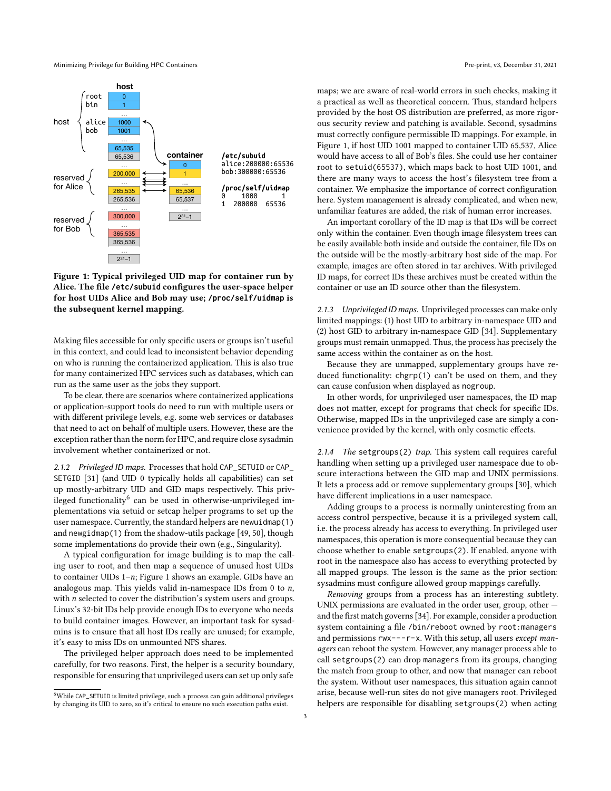Minimizing Privilege for Building HPC Containers **Pre-print, v3, December 31, 2021** Pre-print, v3, December 31, 2021

<span id="page-2-1"></span>

Figure 1: Typical privileged UID map for container run by Alice. The file **/etc/subuid** configures the user-space helper for host UIDs Alice and Bob may use; **/proc/self/uidmap** is the subsequent kernel mapping.

Making files accessible for only specific users or groups isn't useful in this context, and could lead to inconsistent behavior depending on who is running the containerized application. This is also true for many containerized HPC services such as databases, which can run as the same user as the jobs they support.

To be clear, there are scenarios where containerized applications or application-support tools do need to run with multiple users or with different privilege levels, e.g. some web services or databases that need to act on behalf of multiple users. However, these are the exception rather than the norm for HPC, and require close sysadmin involvement whether containerized or not.

2.1.2 Privileged ID maps. Processes that hold CAP\_SETUID or CAP\_ SETGID [\[31\]](#page-11-24) (and UID 0 typically holds all capabilities) can set up mostly-arbitrary UID and GID maps respectively. This priv-ileged functionality<sup>[6](#page-2-0)</sup> can be used in otherwise-unprivileged implementations via setuid or setcap helper programs to set up the user namespace. Currently, the standard helpers are newuidmap(1) and newgidmap(1) from the shadow-utils package [\[49,](#page-11-25) [50\]](#page-11-26), though some implementations do provide their own (e.g., Singularity).

A typical configuration for image building is to map the calling user to root, and then map a sequence of unused host UIDs to container UIDs  $1-n$ ; Figure [1](#page-2-1) shows an example. GIDs have an analogous map. This yields valid in-namespace IDs from  $0$  to  $n$ , with  $n$  selected to cover the distribution's system users and groups. Linux's 32-bit IDs help provide enough IDs to everyone who needs to build container images. However, an important task for sysadmins is to ensure that all host IDs really are unused; for example, it's easy to miss IDs on unmounted NFS shares.

The privileged helper approach does need to be implemented carefully, for two reasons. First, the helper is a security boundary, responsible for ensuring that unprivileged users can set up only safe

maps; we are aware of real-world errors in such checks, making it a practical as well as theoretical concern. Thus, standard helpers provided by the host OS distribution are preferred, as more rigorous security review and patching is available. Second, sysadmins must correctly configure permissible ID mappings. For example, in Figure [1,](#page-2-1) if host UID 1001 mapped to container UID 65,537, Alice would have access to all of Bob's files. She could use her container root to setuid(65537), which maps back to host UID 1001, and there are many ways to access the host's filesystem tree from a container. We emphasize the importance of correct configuration here. System management is already complicated, and when new, unfamiliar features are added, the risk of human error increases.

An important corollary of the ID map is that IDs will be correct only within the container. Even though image filesystem trees can be easily available both inside and outside the container, file IDs on the outside will be the mostly-arbitrary host side of the map. For example, images are often stored in tar archives. With privileged ID maps, for correct IDs these archives must be created within the container or use an ID source other than the filesystem.

2.1.3 Unprivileged ID maps. Unprivileged processes can make only limited mappings: (1) host UID to arbitrary in-namespace UID and (2) host GID to arbitrary in-namespace GID [\[34\]](#page-11-22). Supplementary groups must remain unmapped. Thus, the process has precisely the same access within the container as on the host.

Because they are unmapped, supplementary groups have reduced functionality: chgrp(1) can't be used on them, and they can cause confusion when displayed as nogroup.

In other words, for unprivileged user namespaces, the ID map does not matter, except for programs that check for specific IDs. Otherwise, mapped IDs in the unprivileged case are simply a convenience provided by the kernel, with only cosmetic effects.

2.1.4 The setgroups(2) trap. This system call requires careful handling when setting up a privileged user namespace due to obscure interactions between the GID map and UNIX permissions. It lets a process add or remove supplementary groups [\[30\]](#page-11-27), which have different implications in a user namespace.

Adding groups to a process is normally uninteresting from an access control perspective, because it is a privileged system call, i.e. the process already has access to everything. In privileged user namespaces, this operation is more consequential because they can choose whether to enable setgroups(2). If enabled, anyone with root in the namespace also has access to everything protected by all mapped groups. The lesson is the same as the prior section: sysadmins must configure allowed group mappings carefully.

Removing groups from a process has an interesting subtlety. UNIX permissions are evaluated in the order user, group, other and the first match governs [\[34\]](#page-11-22). For example, consider a production system containing a file /bin/reboot owned by root:managers and permissions rwx---r-x. With this setup, all users except managers can reboot the system. However, any manager process able to call setgroups(2) can drop managers from its groups, changing the match from group to other, and now that manager can reboot the system. Without user namespaces, this situation again cannot arise, because well-run sites do not give managers root. Privileged helpers are responsible for disabling setgroups(2) when acting

<span id="page-2-0"></span><sup>6</sup>While CAP\_SETUID is limited privilege, such a process can gain additional privileges by changing its UID to zero, so it's critical to ensure no such execution paths exist.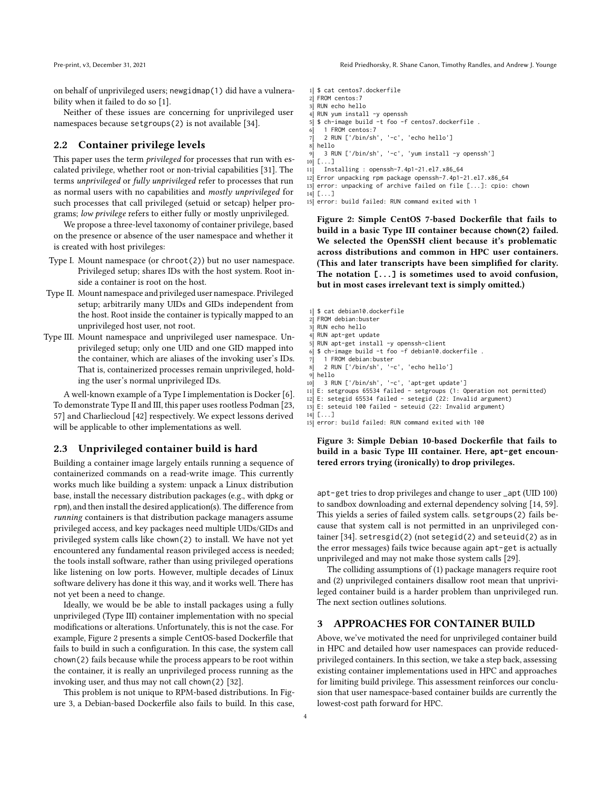on behalf of unprivileged users; newgidmap(1) did have a vulnerability when it failed to do so [\[1\]](#page-10-2).

Neither of these issues are concerning for unprivileged user namespaces because setgroups(2) is not available [\[34\]](#page-11-22).

## 2.2 Container privilege levels

This paper uses the term *privileged* for processes that run with escalated privilege, whether root or non-trivial capabilities [\[31\]](#page-11-24). The terms unprivileged or fully unprivileged refer to processes that run as normal users with no capabilities and mostly unprivileged for such processes that call privileged (setuid or setcap) helper programs; low privilege refers to either fully or mostly unprivileged.

We propose a three-level taxonomy of container privilege, based on the presence or absence of the user namespace and whether it is created with host privileges:

- <span id="page-3-0"></span>Type I. Mount namespace (or chroot(2)) but no user namespace. Privileged setup; shares IDs with the host system. Root inside a container is root on the host.
- <span id="page-3-1"></span>Type II. Mount namespace and privileged user namespace. Privileged setup; arbitrarily many UIDs and GIDs independent from the host. Root inside the container is typically mapped to an unprivileged host user, not root.
- <span id="page-3-2"></span>Type III. Mount namespace and unprivileged user namespace. Unprivileged setup; only one UID and one GID mapped into the container, which are aliases of the invoking user's IDs. That is, containerized processes remain unprivileged, holding the user's normal unprivileged IDs.

A well-known example of a Type [I](#page-3-0) implementation is Docker [\[6\]](#page-10-3). To demonstrate Type [II](#page-3-1) and [III,](#page-3-2) this paper uses rootless Podman [\[23,](#page-11-28) [57\]](#page-11-17) and Charliecloud [\[42\]](#page-11-18) respectively. We expect lessons derived will be applicable to other implementations as well.

## <span id="page-3-5"></span>2.3 Unprivileged container build is hard

Building a container image largely entails running a sequence of containerized commands on a read-write image. This currently works much like building a system: unpack a Linux distribution base, install the necessary distribution packages (e.g., with dpkg or rpm), and then install the desired application(s). The difference from running containers is that distribution package managers assume privileged access, and key packages need multiple UIDs/GIDs and privileged system calls like chown(2) to install. We have not yet encountered any fundamental reason privileged access is needed; the tools install software, rather than using privileged operations like listening on low ports. However, multiple decades of Linux software delivery has done it this way, and it works well. There has not yet been a need to change.

Ideally, we would be be able to install packages using a fully unprivileged (Type [III\)](#page-3-2) container implementation with no special modifications or alterations. Unfortunately, this is not the case. For example, Figure [2](#page-3-3) presents a simple CentOS-based Dockerfile that fails to build in such a configuration. In this case, the system call chown(2) fails because while the process appears to be root within the container, it is really an unprivileged process running as the invoking user, and thus may not call chown(2) [\[32\]](#page-11-29).

This problem is not unique to RPM-based distributions. In Figure [3,](#page-3-4) a Debian-based Dockerfile also fails to build. In this case,

- <span id="page-3-3"></span>2 FROM centos: 7
- 3 RUN echo hello
- 4 RUN yum install -y openssh
- 5 \$ ch-image build -t foo -f centos7.dockerfile .
- 6 1 FROM centos:7

7 2 RUN ['/bin/sh', '-c', 'echo hello']

- 8 hello  $9$  3 RUN ['/bin/sh', '-c', 'yum install -y openssh']
- $10$   $\left[ \ldots \right]$
- 11 Installing : openssh-7.4p1-21.el7.x86\_64
- 12 Error unpacking rpm package openssh-7.4p1-21.el7.x86\_64
- 13 error: unpacking of archive failed on file [...]: cpio: chown
- $14$   $\lceil . . . . \rceil$ 
	- 15 error: build failed: RUN command exited with 1

Figure 2: Simple CentOS 7-based Dockerfile that fails to build in a basic Type [III](#page-3-2) container because **chown(2)** failed. We selected the OpenSSH client because it's problematic across distributions and common in HPC user containers. (This and later transcripts have been simplified for clarity. The notation **[...]** is sometimes used to avoid confusion, but in most cases irrelevant text is simply omitted.)

- <span id="page-3-4"></span>1 \$ cat debian10.dockerfile
- 2 FROM debian: buster 3 RUN echo hello
- 4 RUN apt-get update
	-
- 5 RUN apt-get install -y openssh-client
- $6 \mid$  \$ ch-image build -t foo -f debian10.dockerfile.
- 7 1 FROM debian: buster
- 8 2 RUN ['/bin/sh', '-c', 'echo hello']
- 9 hello
- 10 3 RUN ['/bin/sh', '-c', 'apt-get update']
- 11 E: setgroups 65534 failed setgroups (1: Operation not permitted)
- 12 E: setegid 65534 failed setegid (22: Invalid argument) 13 E: seteuid 100 failed - seteuid (22: Invalid argument)
- 14 [...]
- 15 error: build failed: RUN command exited with 100

Figure 3: Simple Debian 10-based Dockerfile that fails to build in a basic Type [III](#page-3-2) container. Here, **apt-get** encountered errors trying (ironically) to drop privileges.

apt-get tries to drop privileges and change to user \_apt (UID 100) to sandbox downloading and external dependency solving [\[14,](#page-11-30) [59\]](#page-11-31). This yields a series of failed system calls. setgroups(2) fails because that system call is not permitted in an unprivileged container [\[34\]](#page-11-22). setresgid(2) (not setegid(2) and seteuid(2) as in the error messages) fails twice because again apt-get is actually unprivileged and may not make those system calls [\[29\]](#page-11-32).

The colliding assumptions of (1) package managers require root and (2) unprivileged containers disallow root mean that unprivileged container build is a harder problem than unprivileged run. The next section outlines solutions.

## 3 APPROACHES FOR CONTAINER BUILD

Above, we've motivated the need for unprivileged container build in HPC and detailed how user namespaces can provide reducedprivileged containers. In this section, we take a step back, assessing existing container implementations used in HPC and approaches for limiting build privilege. This assessment reinforces our conclusion that user namespace-based container builds are currently the lowest-cost path forward for HPC.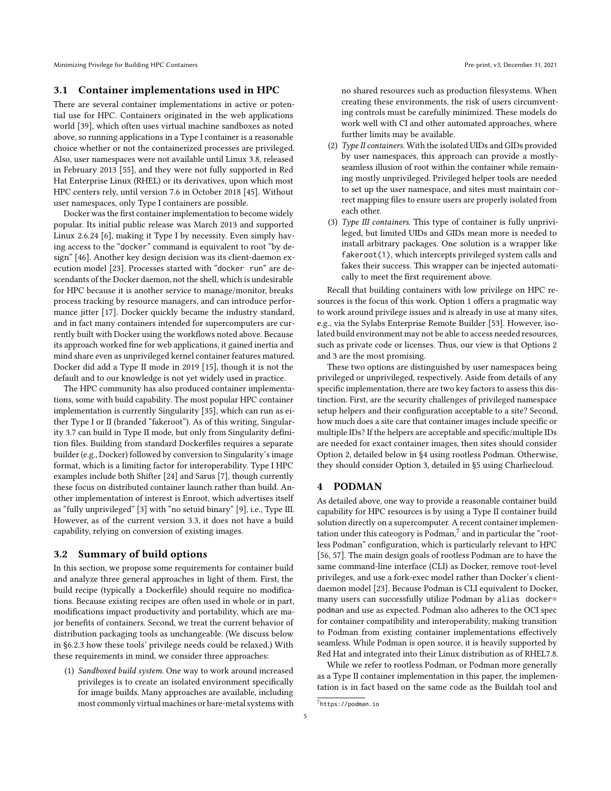Minimizing Privilege for Building HPC Containers **Pre-print, v3, December 31, 2021** Pre-print, v3, December 31, 2021

#### 3.1 Container implementations used in HPC

There are several container implementations in active or potential use for HPC. Containers originated in the web applications world [\[39\]](#page-11-33), which often uses virtual machine sandboxes as noted above, so running applications in a Type [I](#page-3-0) container is a reasonable choice whether or not the containerized processes are privileged. Also, user namespaces were not available until Linux 3.8, released in February 2013 [\[55\]](#page-11-34), and they were not fully supported in Red Hat Enterprise Linux (RHEL) or its derivatives, upon which most HPC centers rely, until version 7.6 in October 2018 [\[45\]](#page-11-35). Without user namespaces, only Type [I](#page-3-0) containers are possible.

Docker was the first container implementation to become widely popular. Its initial public release was March 2013 and supported Linux 2.6.24 [\[6\]](#page-10-3), making it Type [I](#page-3-0) by necessity. Even simply having access to the "docker" command is equivalent to root "by design" [\[46\]](#page-11-36). Another key design decision was its client-daemon execution model [\[23\]](#page-11-28). Processes started with "docker run" are descendants of the Docker daemon, not the shell, which is undesirable for HPC because it is another service to manage/monitor, breaks process tracking by resource managers, and can introduce performance jitter [\[17\]](#page-11-37). Docker quickly became the industry standard, and in fact many containers intended for supercomputers are currently built with Docker using the workflows noted above. Because its approach worked fine for web applications, it gained inertia and mind share even as unprivileged kernel container features matured. Docker did add a Type [II](#page-3-1) mode in 2019 [\[15\]](#page-11-38), though it is not the default and to our knowledge is not yet widely used in practice.

The HPC community has also produced container implementations, some with build capability. The most popular HPC container implementation is currently Singularity [\[35\]](#page-11-39), which can run as either Type [I](#page-3-0) or [II](#page-3-1) (branded "fakeroot"). As of this writing, Singularity 3.7 can build in Type [II](#page-3-1) mode, but only from Singularity definition files. Building from standard Dockerfiles requires a separate builder (e.g., Docker) followed by conversion to Singularity's image format, which is a limiting factor for interoperability. Type [I](#page-3-0) HPC examples include both Shifter [\[24\]](#page-11-40) and Sarus [\[7\]](#page-11-8), though currently these focus on distributed container launch rather than build. Another implementation of interest is Enroot, which advertises itself as "fully unprivileged" [\[3\]](#page-10-4) with "no setuid binary" [\[9\]](#page-11-41), i.e., Type [III.](#page-3-2) However, as of the current version 3.3, it does not have a build capability, relying on conversion of existing images.

#### 3.2 Summary of build options

In this section, we propose some requirements for container build and analyze three general approaches in light of them. First, the build recipe (typically a Dockerfile) should require no modifications. Because existing recipes are often used in whole or in part, modifications impact productivity and portability, which are major benefits of containers. Second, we treat the current behavior of distribution packaging tools as unchangeable. (We discuss below in [§6.2.3](#page-10-5) how these tools' privilege needs could be relaxed.) With these requirements in mind, we consider three approaches:

<span id="page-4-0"></span>(1) Sandboxed build system. One way to work around increased privileges is to create an isolated environment specifically for image builds. Many approaches are available, including most commonly virtual machines or bare-metal systems with no shared resources such as production filesystems. When creating these environments, the risk of users circumventing controls must be carefully minimized. These models do work well with CI and other automated approaches, where further limits may be available.

- <span id="page-4-1"></span>(2)  $Type II containers. With the isolated UIDs and GIDs provided$  $Type II containers. With the isolated UIDs and GIDs provided$  $Type II containers. With the isolated UIDs and GIDs provided$ by user namespaces, this approach can provide a mostlyseamless illusion of root within the container while remaining mostly unprivileged. Privileged helper tools are needed to set up the user namespace, and sites must maintain correct mapping files to ensure users are properly isolated from each other.
- <span id="page-4-2"></span>(3) Type [III](#page-3-2) containers. This type of container is fully unprivileged, but limited UIDs and GIDs mean more is needed to install arbitrary packages. One solution is a wrapper like fakeroot(1), which intercepts privileged system calls and fakes their success. This wrapper can be injected automatically to meet the first requirement above.

Recall that building containers with low privilege on HPC resources is the focus of this work. Option [1](#page-4-0) offers a pragmatic way to work around privilege issues and is already in use at many sites, e.g., via the Sylabs Enterprise Remote Builder [\[53\]](#page-11-42). However, isolated build environment may not be able to access needed resources, such as private code or licenses. Thus, our view is that Options [2](#page-4-1) and [3](#page-4-2) are the most promising.

These two options are distinguished by user namespaces being privileged or unprivileged, respectively. Aside from details of any specific implementation, there are two key factors to assess this distinction. First, are the security challenges of privileged namespace setup helpers and their configuration acceptable to a site? Second, how much does a site care that container images include specific or multiple IDs? If the helpers are acceptable and specific/multiple IDs are needed for exact container images, then sites should consider Option [2,](#page-4-1) detailed below in [§4](#page-4-3) using rootless Podman. Otherwise, they should consider Option [3,](#page-4-2) detailed in [§5](#page-6-0) using Charliecloud.

#### <span id="page-4-3"></span>4 PODMAN

As detailed above, one way to provide a reasonable container build capability for HPC resources is by using a Type [II](#page-3-1) container build solution directly on a supercomputer. A recent container implementation under this cateogory is  $\rm{Podman,}^7$  $\rm{Podman,}^7$  and in particular the "rootless Podman" configuration, which is particularly relevant to HPC [\[56,](#page-11-43) [57\]](#page-11-17). The main design goals of rootless Podman are to have the same command-line interface (CLI) as Docker, remove root-level privileges, and use a fork-exec model rather than Docker's clientdaemon model [\[23\]](#page-11-28). Because Podman is CLI equivalent to Docker, many users can successfully utilize Podman by alias docker= podman and use as expected. Podman also adheres to the OCI spec for container compatibility and interoperability, making transition to Podman from existing container implementations effectively seamless. While Podman is open source, it is heavily supported by Red Hat and integrated into their Linux distribution as of RHEL7.8.

While we refer to rootless Podman, or Podman more generally as a Type [II](#page-3-1) container implementation in this paper, the implementation is in fact based on the same code as the Buildah tool and

<span id="page-4-4"></span><sup>7</sup> <https://podman.io>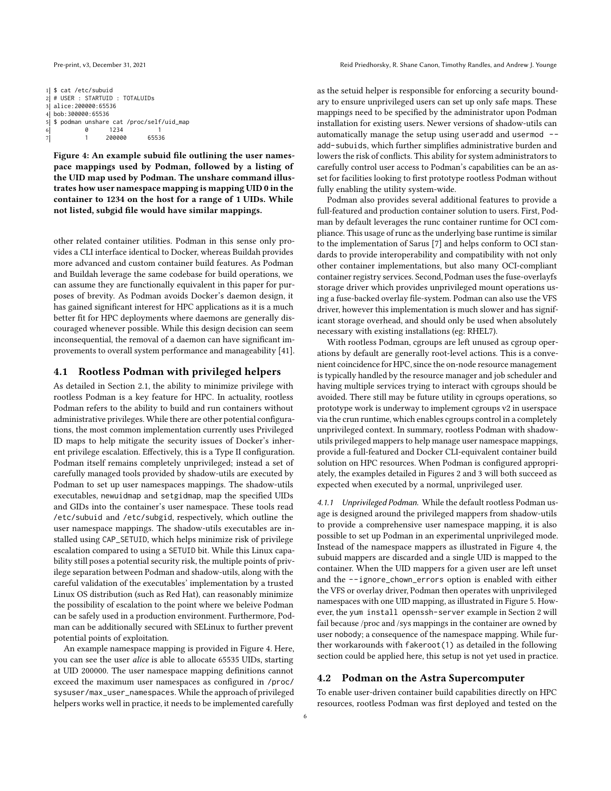<span id="page-5-0"></span>1| \$ cat /etc/subuid 2 # USER : STARTUID : TOTALUIDS 3 alice:200000:65536 4 bob:300000:65536  $5 \mid $$  sodman unshare cat /proc/self/uid\_map<br>6<br>6<br>1234<br>1 6 0 1234 1  $7$  1 200000

Figure 4: An example subuid file outlining the user namespace mappings used by Podman, followed by a listing of the UID map used by Podman. The unshare command illustrates how user namespace mapping is mapping UID 0 in the container to 1234 on the host for a range of 1 UIDs. While not listed, subgid file would have similar mappings.

other related container utilities. Podman in this sense only provides a CLI interface identical to Docker, whereas Buildah provides more advanced and custom container build features. As Podman and Buildah leverage the same codebase for build operations, we can assume they are functionally equivalent in this paper for purposes of brevity. As Podman avoids Docker's daemon design, it has gained significant interest for HPC applications as it is a much better fit for HPC deployments where daemons are generally discouraged whenever possible. While this design decision can seem inconsequential, the removal of a daemon can have significant improvements to overall system performance and manageability [\[41\]](#page-11-44).

## 4.1 Rootless Podman with privileged helpers

As detailed in Section [2.1,](#page-1-4) the ability to minimize privilege with rootless Podman is a key feature for HPC. In actuality, rootless Podman refers to the ability to build and run containers without administrative privileges. While there are other potential configurations, the most common implementation currently uses Privileged ID maps to help mitigate the security issues of Docker's inherent privilege escalation. Effectively, this is a Type [II](#page-3-1) configuration. Podman itself remains completely unprivileged; instead a set of carefully managed tools provided by shadow-utils are executed by Podman to set up user namespaces mappings. The shadow-utils executables, newuidmap and setgidmap, map the specified UIDs and GIDs into the container's user namespace. These tools read /etc/subuid and /etc/subgid, respectively, which outline the user namespace mappings. The shadow-utils executables are installed using CAP\_SETUID, which helps minimize risk of privilege escalation compared to using a SETUID bit. While this Linux capability still poses a potential security risk, the multiple points of privilege separation between Podman and shadow-utils, along with the careful validation of the executables' implementation by a trusted Linux OS distribution (such as Red Hat), can reasonably minimize the possibility of escalation to the point where we beleive Podman can be safely used in a production environment. Furthermore, Podman can be additionally secured with SELinux to further prevent potential points of exploitation.

An example namespace mapping is provided in Figure [4.](#page-5-0) Here, you can see the user alice is able to allocate 65535 UIDs, starting at UID 200000. The user namespace mapping definitions cannot exceed the maximum user namespaces as configured in /proc/ sysuser/max\_user\_namespaces. While the approach of privileged helpers works well in practice, it needs to be implemented carefully

as the setuid helper is responsible for enforcing a security boundary to ensure unprivileged users can set up only safe maps. These mappings need to be specified by the administrator upon Podman installation for existing users. Newer versions of shadow-utils can automatically manage the setup using useradd and usermod - add-subuids, which further simplifies administrative burden and lowers the risk of conflicts. This ability for system administrators to carefully control user access to Podman's capabilities can be an asset for facilities looking to first prototype rootless Podman without fully enabling the utility system-wide.

Podman also provides several additional features to provide a full-featured and production container solution to users. First, Podman by default leverages the runc container runtime for OCI compliance. This usage of runc as the underlying base runtime is similar to the implementation of Sarus [\[7\]](#page-11-8) and helps conform to OCI standards to provide interoperability and compatibility with not only other container implementations, but also many OCI-compliant container registry services. Second, Podman uses the fuse-overlayfs storage driver which provides unprivileged mount operations using a fuse-backed overlay file-system. Podman can also use the VFS driver, however this implementation is much slower and has significant storage overhead, and should only be used when absolutely necessary with existing installations (eg: RHEL7).

With rootless Podman, cgroups are left unused as cgroup operations by default are generally root-level actions. This is a convenient coincidence for HPC, since the on-node resource management is typically handled by the resource manager and job scheduler and having multiple services trying to interact with cgroups should be avoided. There still may be future utility in cgroups operations, so prototype work is underway to implement cgroups v2 in userspace via the crun runtime, which enables cgroups control in a completely unprivileged context. In summary, rootless Podman with shadowutils privileged mappers to help manage user namespace mappings, provide a full-featured and Docker CLI-equivalent container build solution on HPC resources. When Podman is configured appropriately, the examples detailed in Figures [2](#page-3-3) and [3](#page-3-4) will both succeed as expected when executed by a normal, unprivileged user.

4.1.1 Unprivileged Podman. While the default rootless Podman usage is designed around the privileged mappers from shadow-utils to provide a comprehensive user namespace mapping, it is also possible to set up Podman in an experimental unprivileged mode. Instead of the namespace mappers as illustrated in Figure [4,](#page-5-0) the subuid mappers are discarded and a single UID is mapped to the container. When the UID mappers for a given user are left unset and the --ignore\_chown\_errors option is enabled with either the VFS or overlay driver, Podman then operates with unprivileged namespaces with one UID mapping, as illustrated in Figure [5.](#page-6-1) However, the yum install openssh-server example in Section [2](#page-0-2) will fail because /proc and /sys mappings in the container are owned by user nobody; a consequence of the namespace mapping. While further workarounds with fakeroot(1) as detailed in the following section could be applied here, this setup is not yet used in practice.

#### 4.2 Podman on the Astra Supercomputer

To enable user-driven container build capabilities directly on HPC resources, rootless Podman was first deployed and tested on the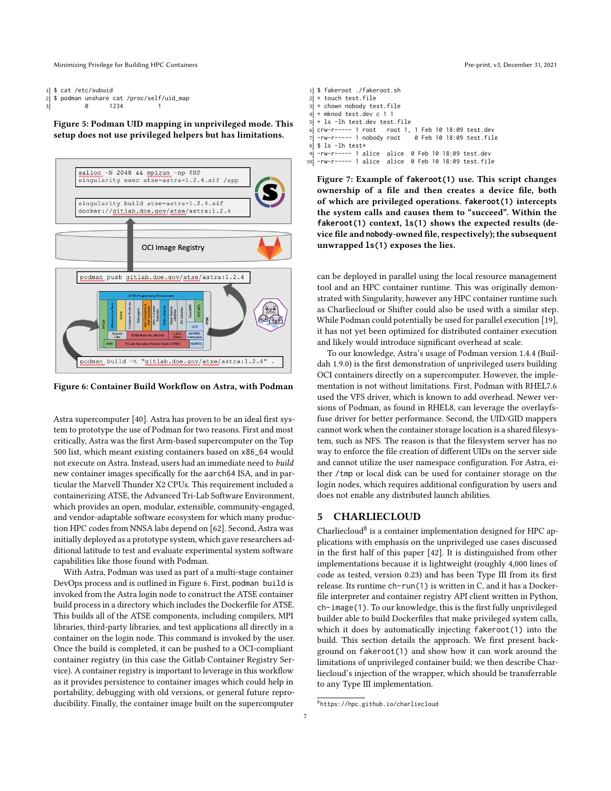Minimizing Privilege for Building HPC Containers Pre-print, v3, December 31, 2021

```
1 $ cat /etc/subuid
2 $ podman unshare cat /proc/self/uid_map<br>3 8 1234 1
                      1234
```
Figure 5: Podman UID mapping in unprivileged mode. This setup does not use privileged helpers but has limitations.

<span id="page-6-2"></span>

Figure 6: Container Build Workflow on Astra, with Podman

Astra supercomputer [\[40\]](#page-11-4). Astra has proven to be an ideal first system to prototype the use of Podman for two reasons. First and most critically, Astra was the first Arm-based supercomputer on the Top 500 list, which meant existing containers based on x86\_64 would not execute on Astra. Instead, users had an immediate need to build new container images specifically for the aarch64 ISA, and in particular the Marvell Thunder X2 CPUs. This requirement included a containerizing ATSE, the Advanced Tri-Lab Software Environment, which provides an open, modular, extensible, community-engaged, and vendor-adaptable software ecosystem for which many production HPC codes from NNSA labs depend on [\[62\]](#page-11-45). Second, Astra was initially deployed as a prototype system, which gave researchers additional latitude to test and evaluate experimental system software capabilities like those found with Podman.

With Astra, Podman was used as part of a multi-stage container DevOps process and is outlined in Figure [6.](#page-6-2) First, podman build is invoked from the Astra login node to construct the ATSE container build process in a directory which includes the Dockerfile for ATSE. This builds all of the ATSE components, including compilers, MPI libraries, third-party libraries, and test applications all directly in a container on the login node. This command is invoked by the user. Once the build is completed, it can be pushed to a OCI-compliant container registry (in this case the Gitlab Container Registry Service). A container registry is important to leverage in this workflow as it provides persistence to container images which could help in portability, debugging with old versions, or general future reproducibility. Finally, the container image built on the supercomputer

<span id="page-6-4"></span>

| 1  \$ fakeroot ./fakeroot.sh                           |
|--------------------------------------------------------|
| $2$ + touch test. file                                 |
| $3$ + chown nobody test. file                          |
| $4$ + mknod test.dev c 1 1                             |
| $5$ + 1s -1h test.dev test.file                        |
| 6 crw-r----- 1 root root 1, 1 Feb 10 18:09 test.dev    |
| 7 - rw-r----- 1 nobody root 0 Feb 10 18:09 test.file   |
| 8 \$ ls -lh test*                                      |
| 9 - rw-r----- 1 alice alice 0 Feb 10 18:09 test.dev    |
| 10 -rw-r----- 1 alice  alice  0 Feb 10 18:09 test.file |

Figure 7: Example of **fakeroot(1)** use. This script changes ownership of a file and then creates a device file, both of which are privileged operations. **fakeroot(1)** intercepts the system calls and causes them to "succeed". Within the **fakeroot(1)** context, **ls(1)** shows the expected results (device file and **nobody**-owned file, respectively); the subsequent unwrapped **ls(1)** exposes the lies.

can be deployed in parallel using the local resource management tool and an HPC container runtime. This was originally demonstrated with Singularity, however any HPC container runtime such as Charliecloud or Shifter could also be used with a similar step. While Podman could potentially be used for parallel execution [\[19\]](#page-11-46), it has not yet been optimized for distributed container execution and likely would introduce significant overhead at scale.

To our knowledge, Astra's usage of Podman version 1.4.4 (Buildah 1.9.0) is the first demonstration of unprivileged users building OCI containers directly on a supercomputer. However, the implementation is not without limitations. First, Podman with RHEL7.6 used the VFS driver, which is known to add overhead. Newer versions of Podman, as found in RHEL8, can leverage the overlayfsfuse driver for better performance. Second, the UID/GID mappers cannot work when the container storage location is a shared filesystem, such as NFS. The reason is that the filesystem server has no way to enforce the file creation of different UIDs on the server side and cannot utilize the user namespace configuration. For Astra, either /tmp or local disk can be used for container storage on the login nodes, which requires additional configuration by users and does not enable any distributed launch abilities.

## <span id="page-6-0"></span>5 CHARLIECLOUD

Charliecloud<sup>[8](#page-6-3)</sup> is a container implementation designed for HPC applications with emphasis on the unprivileged use cases discussed in the first half of this paper [\[42\]](#page-11-18). It is distinguished from other implementations because it is lightweight (roughly 4,000 lines of code as tested, version 0.23) and has been Type [III](#page-3-2) from its first release. Its runtime ch-run(1) is written in C, and it has a Dockerfile interpreter and container registry API client written in Python, ch-image(1). To our knowledge, this is the first fully unprivileged builder able to build Dockerfiles that make privileged system calls, which it does by automatically injecting fakeroot(1) into the build. This section details the approach. We first present background on fakeroot(1) and show how it can work around the limitations of unprivileged container build; we then describe Charliecloud's injection of the wrapper, which should be transferrable to any Type [III](#page-3-2) implementation.

<span id="page-6-3"></span><sup>8</sup> <https://hpc.github.io/charliecloud>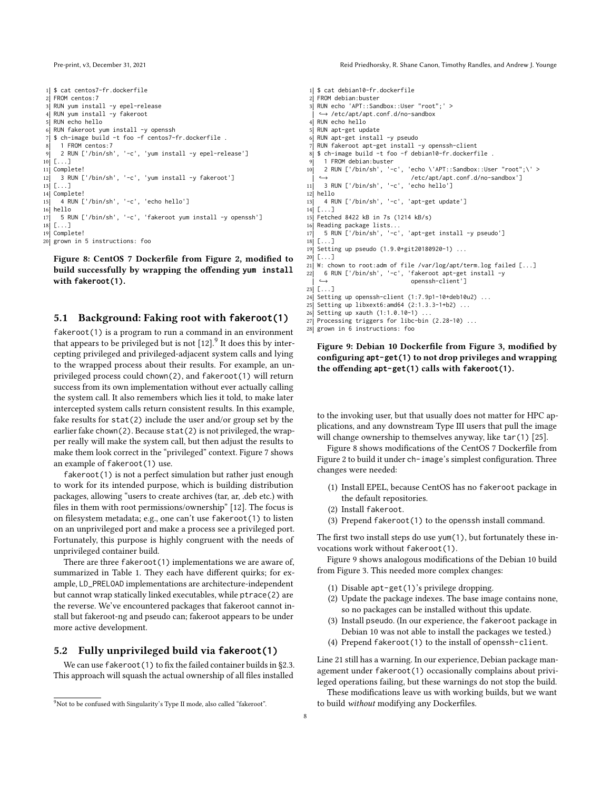```
1| $ cat centos7-fr.dockerfile
2 FROM centos: 7
3 RUN yum install -y epel-release
 4 RUN yum install -y fakeroot
5 RUN echo hello
 6 RUN fakeroot yum install -y openssh
7 \mid $ ch-image build -t foo -f centos7-fr.dockerfile.
 8 1 FROM centos:7
 9 2 RUN ['/bin/sh', '-c', 'yum install -y epel-release']
10 \lceil...]
11 Complete!
12 \mid 3 RUN ['/bin/sh', '-c', 'yum install -y fakeroot']
13 [\ldots]
14 Complete!
15 4 RUN ['/bin/sh', '-c', 'echo hello']
16 hello
17 5 RUN ['/bin/sh', '-c', 'fakeroot yum install -y openssh']
18 [...]
19 Complete!
20 grown in 5 instructions: foo
```
Figure 8: CentOS 7 Dockerfile from Figure [2,](#page-3-3) modified to build successfully by wrapping the offending **yum install** with **fakeroot(1)**.

## 5.1 Background: Faking root with **fakeroot(1)**

fakeroot(1) is a program to run a command in an environment that appears to be privileged but is not  $[12]$ .<sup>[9](#page-7-0)</sup> It does this by intercepting privileged and privileged-adjacent system calls and lying to the wrapped process about their results. For example, an unprivileged process could chown(2), and fakeroot(1) will return success from its own implementation without ever actually calling the system call. It also remembers which lies it told, to make later intercepted system calls return consistent results. In this example, fake results for stat(2) include the user and/or group set by the earlier fake chown(2). Because stat(2) is not privileged, the wrapper really will make the system call, but then adjust the results to make them look correct in the "privileged" context. Figure [7](#page-6-4) shows an example of fakeroot(1) use.

fakeroot(1) is not a perfect simulation but rather just enough to work for its intended purpose, which is building distribution packages, allowing "users to create archives (tar, ar, .deb etc.) with files in them with root permissions/ownership" [\[12\]](#page-11-47). The focus is on filesystem metadata; e.g., one can't use fakeroot(1) to listen on an unprivileged port and make a process see a privileged port. Fortunately, this purpose is highly congruent with the needs of unprivileged container build.

There are three fakeroot(1) implementations we are aware of, summarized in Table [1.](#page-8-0) They each have different quirks; for example, LD\_PRELOAD implementations are architecture-independent but cannot wrap statically linked executables, while ptrace(2) are the reverse. We've encountered packages that fakeroot cannot install but fakeroot-ng and pseudo can; fakeroot appears to be under more active development.

## 5.2 Fully unprivileged build via **fakeroot(1)**

We can use fakeroot (1) to fix the failed container builds in [§2.3.](#page-3-5) This approach will squash the actual ownership of all files installed

Pre-print, v3, December 31, 2021 **Reid Priedhorsky, R. Shane Canon, Timothy Randles, and Andrew J. Younge** 

<span id="page-7-2"></span>1 \$ cat debian10-fr.dockerfile  $2$  FROM debian: buster 3 RUN echo 'APT::Sandbox::User "root";' > ↩→ /etc/apt/apt.conf.d/no-sandbox RUN echo hello 5 RUN apt-get update 6 RUN apt-get install -y pseudo 7 RUN fakeroot apt-get install -y openssh-client  $\overline{8}$  \$ ch-image build -t foo -f debian10-fr.dockerfile 9 1 FROM debian:buster 10 2 RUN ['/bin/sh', '-c', 'echo \'APT::Sandbox::User "root";\' > ↩→ /etc/apt/apt.conf.d/no-sandbox'] 11 3 RUN ['/bin/sh', '-c', 'echo hello'] 12 hello 13 4 RUN ['/bin/sh', '-c', 'apt-get update'] 14 [...] 15 Fetched 8422 kB in 7s (1214 kB/s) 16 Reading package lists.. 17 5 RUN ['/bin/sh', '-c', 'apt-get install -y pseudo']  $18$  $[$   $[$ ...] 19 Setting up pseudo (1.9.0+git20180920-1) ...  $20$  [ $\ldots$ ] 21 W: chown to root:adm of file /var/log/apt/term.log failed  $[\dots]$ 22 6 RUN ['/bin/sh', '-c', 'fakeroot apt-get install -y ↩→ openssh-client']  $23$   $\sqrt{2}$   $\sqrt{2}$ 24 Setting up openssh-client  $(1:7.9p1-10+deb10u2)$  ... 25 Setting up libxext6: amd 64 (2:1.3.3-1+b2) ... 26 Setting up xauth (1:1.0.10-1). 27 Processing triggers for libc-bin  $(2.28-10)$  ... 28 grown in 6 instructions: foo

## Figure 9: Debian 10 Dockerfile from Figure [3,](#page-3-4) modified by configuring **apt-get(1)** to not drop privileges and wrapping the offending **apt-get(1)** calls with **fakeroot(1)**.

to the invoking user, but that usually does not matter for HPC applications, and any downstream Type [III](#page-3-2) users that pull the image will change ownership to themselves anyway, like tar(1) [\[25\]](#page-11-48).

Figure [8](#page-7-1) shows modifications of the CentOS 7 Dockerfile from Figure [2](#page-3-3) to build it under ch-image's simplest configuration. Three changes were needed:

- (1) Install EPEL, because CentOS has no fakeroot package in the default repositories.
- (2) Install fakeroot.
- (3) Prepend fakeroot(1) to the openssh install command.

The first two install steps do use yum(1), but fortunately these invocations work without fakeroot(1).

Figure [9](#page-7-2) shows analogous modifications of the Debian 10 build from Figure [3.](#page-3-4) This needed more complex changes:

- (1) Disable apt-get(1)'s privilege dropping.
- (2) Update the package indexes. The base image contains none, so no packages can be installed without this update.
- (3) Install pseudo. (In our experience, the fakeroot package in Debian 10 was not able to install the packages we tested.)
- (4) Prepend fakeroot(1) to the install of openssh-client.

Line 21 still has a warning. In our experience, Debian package management under fakeroot(1) occasionally complains about privileged operations failing, but these warnings do not stop the build.

These modifications leave us with working builds, but we want to build without modifying any Dockerfiles.

<span id="page-7-0"></span><sup>&</sup>lt;sup>9</sup>Not to be confused with Singularity's Type [II](#page-3-1) mode, also called "fakeroot".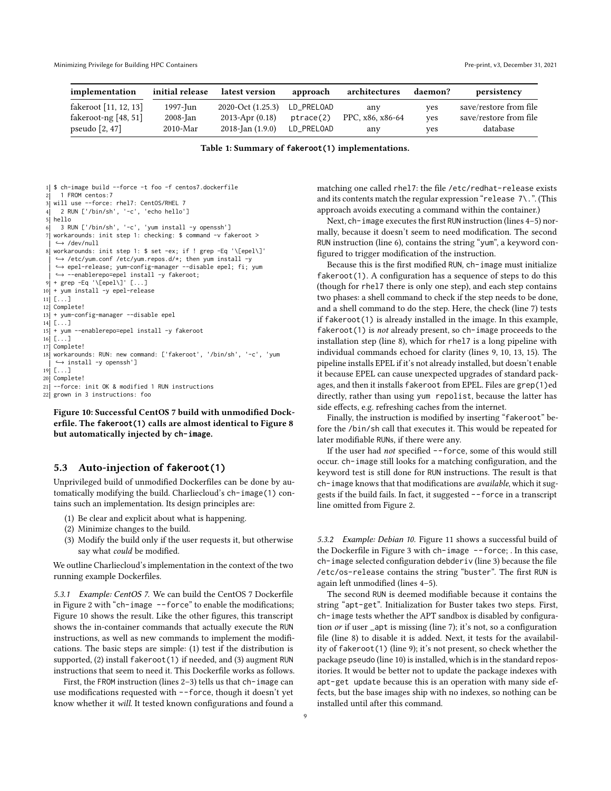<span id="page-8-0"></span>

| implementation         | initial release | latest version        | approach   | architectures    | daemon? | persistency            |
|------------------------|-----------------|-----------------------|------------|------------------|---------|------------------------|
| fakeroot [11, 12, 13]  | 1997-Jun        | 2020-Oct (1.25.3)     | LD_PRELOAD | any              | ves     | save/restore from file |
| fakeroot-ng $[48, 51]$ | $2008$ -Jan     | 2013-Apr $(0.18)$     | ptrace(2)  | PPC, x86, x86-64 | ves     | save/restore from file |
| pseudo $[2, 47]$       | $2010$ -Mar     | $2018$ -Jan $(1.9.0)$ | LD_PRELOAD | any              | ves     | database               |

Table 1: Summary of **fakeroot(1)** implementations.

```
1| $ ch-image build --force -t foo -f centos7.dockerfile
2 1 FROM centos: 7
 3 will use --force: rhel7: CentOS/RHEL 7
 4 2 RUN ['/bin/sh', '-c', 'echo hello']
 5 hello
 6 3 RUN ['/bin/sh', '-c', 'yum install -y openssh']
 7 workarounds: init step 1: checking: $ command -v fakeroot >
   ↩→ /dev/null
 8 workarounds: init step 1: $ set -ex; if ! grep -Eq '\[epel\]'
    ↩→ /etc/yum.conf /etc/yum.repos.d/*; then yum install -y
↩→ epel-release; yum-config-manager --disable epel; fi; yum
   ↩→ --enablerepo=epel install -y fakeroot;
 9 + grep -Eq '\[epel\]' [...]
10 + yum install -y epel-release
11 [...]
12 Complete!
13 + yum-config-manager --disable epel
14 [...]
15 + yum --enablerepo=epel install -y fakeroot
16 [...]
17 Complete!
18 workarounds: RUN: new command: ['fakeroot', '/bin/sh', '-c', 'yum
   ↩→ install -y openssh']
19 [...]
20 Complete!
21 --force: init OK & modified 1 RUN instructions
22 grown in 3 instructions: foo
```
Figure 10: Successful CentOS 7 build with unmodified Dockerfile. The **fakeroot(1)** calls are almost identical to Figure [8](#page-7-1) but automatically injected by **ch-image**.

#### 5.3 Auto-injection of **fakeroot(1)**

Unprivileged build of unmodified Dockerfiles can be done by automatically modifying the build. Charliecloud's ch-image(1) contains such an implementation. Its design principles are:

- (1) Be clear and explicit about what is happening.
- (2) Minimize changes to the build.
- (3) Modify the build only if the user requests it, but otherwise say what could be modified.

We outline Charliecloud's implementation in the context of the two running example Dockerfiles.

5.3.1 Example: CentOS 7. We can build the CentOS 7 Dockerfile in Figure [2](#page-3-3) with "ch-image --force" to enable the modifications; Figure [10](#page-8-1) shows the result. Like the other figures, this transcript shows the in-container commands that actually execute the RUN instructions, as well as new commands to implement the modifications. The basic steps are simple: (1) test if the distribution is supported, (2) install fakeroot(1) if needed, and (3) augment RUN instructions that seem to need it. This Dockerfile works as follows.

First, the FROM instruction (lines 2–3) tells us that ch-image can use modifications requested with --force, though it doesn't yet know whether it will. It tested known configurations and found a matching one called rhel7: the file /etc/redhat-release exists and its contents match the regular expression "release 7\.". (This approach avoids executing a command within the container.)

Next, ch-image executes the first RUN instruction (lines 4–5) normally, because it doesn't seem to need modification. The second RUN instruction (line 6), contains the string "yum", a keyword configured to trigger modification of the instruction.

Because this is the first modified RUN, ch-image must initialize fakeroot(1). A configuration has a sequence of steps to do this (though for rhel7 there is only one step), and each step contains two phases: a shell command to check if the step needs to be done, and a shell command to do the step. Here, the check (line 7) tests if fakeroot(1) is already installed in the image. In this example, fakeroot(1) is not already present, so ch-image proceeds to the installation step (line 8), which for rhel7 is a long pipeline with individual commands echoed for clarity (lines 9, 10, 13, 15). The pipeline installs EPEL if it's not already installed, but doesn't enable it because EPEL can cause unexpected upgrades of standard packages, and then it installs fakeroot from EPEL. Files are grep(1)ed directly, rather than using yum repolist, because the latter has side effects, e.g. refreshing caches from the internet.

Finally, the instruction is modified by inserting "fakeroot" before the /bin/sh call that executes it. This would be repeated for later modifiable RUNs, if there were any.

If the user had not specified --force, some of this would still occur. ch-image still looks for a matching configuration, and the keyword test is still done for RUN instructions. The result is that ch-image knows that that modifications are *available*, which it suggests if the build fails. In fact, it suggested --force in a transcript line omitted from Figure [2.](#page-3-3)

5.3.2 Example: Debian 10. Figure [11](#page-9-0) shows a successful build of the Dockerfile in Figure [3](#page-3-4) with  $ch$ -image  $-$ -force; . In this case, ch-image selected configuration debderiv (line 3) because the file /etc/os-release contains the string "buster". The first RUN is again left unmodified (lines 4–5).

The second RUN is deemed modifiable because it contains the string "apt-get". Initialization for Buster takes two steps. First, ch-image tests whether the APT sandbox is disabled by configuration or if user \_apt is missing (line 7); it's not, so a configuration file (line 8) to disable it is added. Next, it tests for the availability of fakeroot(1) (line 9); it's not present, so check whether the package pseudo (line 10) is installed, which is in the standard repositories. It would be better not to update the package indexes with apt-get update because this is an operation with many side effects, but the base images ship with no indexes, so nothing can be installed until after this command.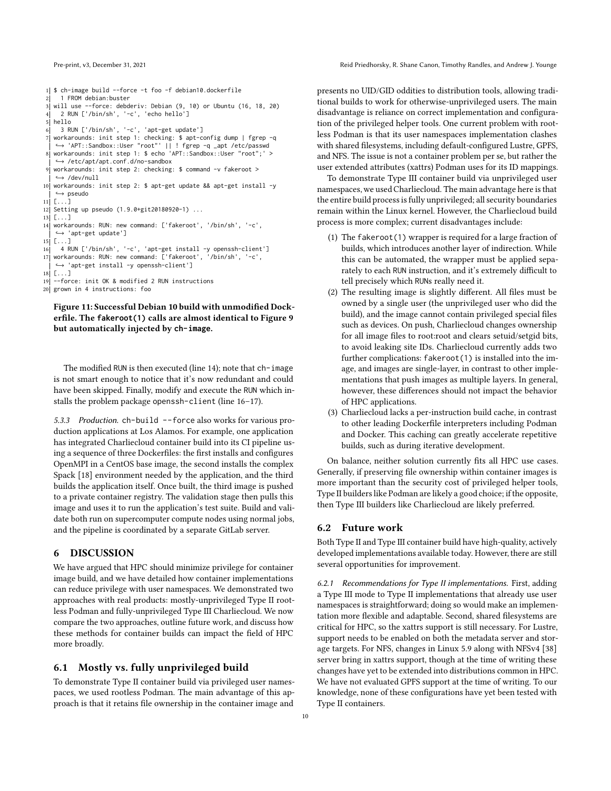<span id="page-9-0"></span>1 \$ ch-image build --force -t foo -f debian10.dockerfile 2 1 FROM debian:buster<br>3 will use --force: debd will use --force: debderiv: Debian (9, 10) or Ubuntu (16, 18, 20) 4 2 RUN ['/bin/sh', '-c', 'echo hello'] 5 hello 6 3 RUN ['/bin/sh', '-c', 'apt-get update']  $7$  workarounds: init step 1: checking: \$ apt-config dump | fgrep -q ↩→ 'APT::Sandbox::User "root"' || ! fgrep -q \_apt /etc/passwd 8 workarounds: init step 1: \$ echo 'APT::Sandbox::User "root";' > ↩→ /etc/apt/apt.conf.d/no-sandbox 9 workarounds: init step 2: checking: \$ command -v fakeroot > ↩→ /dev/null 10 workarounds: init step 2: \$ apt-get update && apt-get install -y ↩→ pseudo  $11$   $\Gamma$   $\bar{1}$ 12 Setting up pseudo (1.9.0+git20180920-1) ...  $13$   $\lceil$ ...] 14 workarounds: RUN: new command: ['fakeroot', '/bin/sh', '-c', ↩→ 'apt-get update']  $15$   $\begin{bmatrix} \dots \end{bmatrix}$ 16 4 RUN ['/bin/sh', '-c', 'apt-get install -y openssh-client'] 17 workarounds: RUN: new command: ['fakeroot', '/bin/sh', '-c', ↩→ 'apt-get install -y openssh-client']  $18$  [...] 19 --force: init OK & modified 2 RUN instructions 20 grown in 4 instructions: foo

Figure 11: Successful Debian 10 build with unmodified Dockerfile. The **fakeroot(1)** calls are almost identical to Figure [9](#page-7-2) but automatically injected by **ch-image**.

The modified RUN is then executed (line 14); note that ch-image is not smart enough to notice that it's now redundant and could have been skipped. Finally, modify and execute the RUN which installs the problem package openssh-client (line 16–17).

5.3.3 Production. ch-build --force also works for various production applications at Los Alamos. For example, one application has integrated Charliecloud container build into its CI pipeline using a sequence of three Dockerfiles: the first installs and configures OpenMPI in a CentOS base image, the second installs the complex Spack [\[18\]](#page-11-54) environment needed by the application, and the third builds the application itself. Once built, the third image is pushed to a private container registry. The validation stage then pulls this image and uses it to run the application's test suite. Build and validate both run on supercomputer compute nodes using normal jobs, and the pipeline is coordinated by a separate GitLab server.

#### 6 DISCUSSION

We have argued that HPC should minimize privilege for container image build, and we have detailed how container implementations can reduce privilege with user namespaces. We demonstrated two approaches with real products: mostly-unprivileged Type [II](#page-3-1) rootless Podman and fully-unprivileged Type [III](#page-3-2) Charliecloud. We now compare the two approaches, outline future work, and discuss how these methods for container builds can impact the field of HPC more broadly.

## 6.1 Mostly vs. fully unprivileged build

To demonstrate Type [II](#page-3-1) container build via privileged user namespaces, we used rootless Podman. The main advantage of this approach is that it retains file ownership in the container image and

presents no UID/GID oddities to distribution tools, allowing traditional builds to work for otherwise-unprivileged users. The main disadvantage is reliance on correct implementation and configuration of the privileged helper tools. One current problem with rootless Podman is that its user namespaces implementation clashes with shared filesystems, including default-configured Lustre, GPFS, and NFS. The issue is not a container problem per se, but rather the user extended attributes (xattrs) Podman uses for its ID mappings.

To demonstrate Type [III](#page-3-2) container build via unprivileged user namespaces, we used Charliecloud. The main advantage here is that the entire build process is fully unprivileged; all security boundaries remain within the Linux kernel. However, the Charliecloud build process is more complex; current disadvantages include:

- (1) The fakeroot(1) wrapper is required for a large fraction of builds, which introduces another layer of indirection. While this can be automated, the wrapper must be applied separately to each RUN instruction, and it's extremely difficult to tell precisely which RUNs really need it.
- (2) The resulting image is slightly different. All files must be owned by a single user (the unprivileged user who did the build), and the image cannot contain privileged special files such as devices. On push, Charliecloud changes ownership for all image files to root:root and clears setuid/setgid bits, to avoid leaking site IDs. Charliecloud currently adds two further complications: fakeroot(1) is installed into the image, and images are single-layer, in contrast to other implementations that push images as multiple layers. In general, however, these differences should not impact the behavior of HPC applications.
- (3) Charliecloud lacks a per-instruction build cache, in contrast to other leading Dockerfile interpreters including Podman and Docker. This caching can greatly accelerate repetitive builds, such as during iterative development.

On balance, neither solution currently fits all HPC use cases. Generally, if preserving file ownership within container images is more important than the security cost of privileged helper tools, Type [II](#page-3-1) builders like Podman are likely a good choice; if the opposite, then Type [III](#page-3-2) builders like Charliecloud are likely preferred.

#### 6.2 Future work

Both Type [II](#page-3-1) and Type [III](#page-3-2) container build have high-quality, actively developed implementations available today. However, there are still several opportunities for improvement.

6.2.1 Recommendations for Type [II](#page-3-1) implementations. First, adding a Type [III](#page-3-2) mode to Type [II](#page-3-1) implementations that already use user namespaces is straightforward; doing so would make an implementation more flexible and adaptable. Second, shared filesystems are critical for HPC, so the xattrs support is still necessary. For Lustre, support needs to be enabled on both the metadata server and storage targets. For NFS, changes in Linux 5.9 along with NFSv4 [\[38\]](#page-11-55) server bring in xattrs support, though at the time of writing these changes have yet to be extended into distributions common in HPC. We have not evaluated GPFS support at the time of writing. To our knowledge, none of these configurations have yet been tested with Type [II](#page-3-1) containers.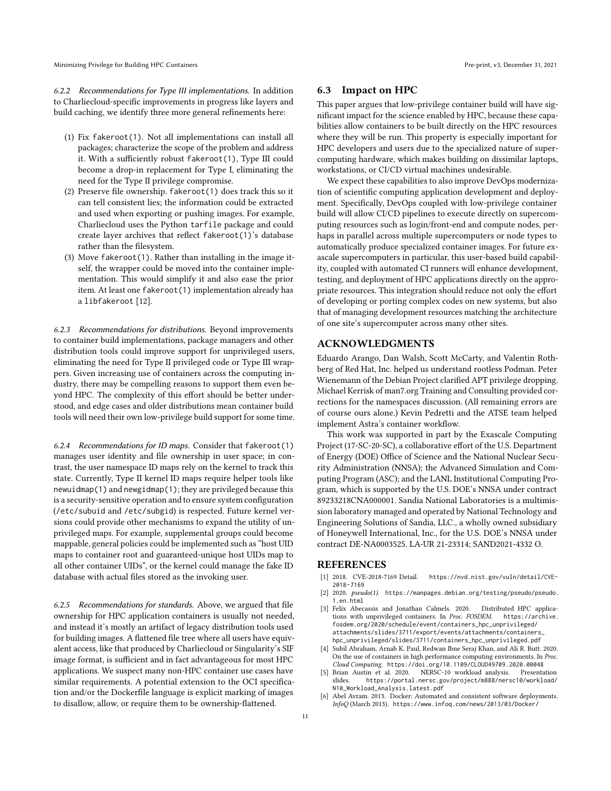Minimizing Privilege for Building HPC Containers **Pre-print, v3, December 31, 2021** Pre-print, v3, December 31, 2021

6.2.2 Recommendations for Type [III](#page-3-2) implementations. In addition to Charliecloud-specific improvements in progress like layers and build caching, we identify three more general refinements here:

- (1) Fix fakeroot(1). Not all implementations can install all packages; characterize the scope of the problem and address it. With a sufficiently robust fakeroot(1), Type [III](#page-3-2) could become a drop-in replacement for Type [I,](#page-3-0) eliminating the need for the Type [II](#page-3-1) privilege compromise.
- (2) Preserve file ownership. fakeroot(1) does track this so it can tell consistent lies; the information could be extracted and used when exporting or pushing images. For example, Charliecloud uses the Python tarfile package and could create layer archives that reflect fakeroot(1)'s database rather than the filesystem.
- (3) Move fakeroot(1). Rather than installing in the image itself, the wrapper could be moved into the container implementation. This would simplify it and also ease the prior item. At least one fakeroot(1) implementation already has a libfakeroot [\[12\]](#page-11-47).

<span id="page-10-5"></span>6.2.3 Recommendations for distributions. Beyond improvements to container build implementations, package managers and other distribution tools could improve support for unprivileged users, eliminating the need for Type [II](#page-3-1) privileged code or Type [III](#page-3-2) wrappers. Given increasing use of containers across the computing industry, there may be compelling reasons to support them even beyond HPC. The complexity of this effort should be better understood, and edge cases and older distributions mean container build tools will need their own low-privilege build support for some time.

6.2.4 Recommendations for ID maps. Consider that fakeroot(1) manages user identity and file ownership in user space; in contrast, the user namespace ID maps rely on the kernel to track this state. Currently, Type [II](#page-3-1) kernel ID maps require helper tools like newuidmap(1) and newgidmap(1); they are privileged because this is a security-sensitive operation and to ensure system configuration (/etc/subuid and /etc/subgid) is respected. Future kernel versions could provide other mechanisms to expand the utility of unprivileged maps. For example, supplemental groups could become mappable, general policies could be implemented such as "host UID maps to container root and guaranteed-unique host UIDs map to all other container UIDs", or the kernel could manage the fake ID database with actual files stored as the invoking user.

6.2.5 Recommendations for standards. Above, we argued that file ownership for HPC application containers is usually not needed, and instead it's mostly an artifact of legacy distribution tools used for building images. A flattened file tree where all users have equivalent access, like that produced by Charliecloud or Singularity's SIF image format, is sufficient and in fact advantageous for most HPC applications. We suspect many non-HPC container use cases have similar requirements. A potential extension to the OCI specification and/or the Dockerfile language is explicit marking of images to disallow, allow, or require them to be ownership-flattened.

## 6.3 Impact on HPC

This paper argues that low-privilege container build will have significant impact for the science enabled by HPC, because these capabilities allow containers to be built directly on the HPC resources where they will be run. This property is especially important for HPC developers and users due to the specialized nature of supercomputing hardware, which makes building on dissimilar laptops, workstations, or CI/CD virtual machines undesirable.

We expect these capabilities to also improve DevOps modernization of scientific computing application development and deployment. Specifically, DevOps coupled with low-privilege container build will allow CI/CD pipelines to execute directly on supercomputing resources such as login/front-end and compute nodes, perhaps in parallel across multiple supercomputers or node types to automatically produce specialized container images. For future exascale supercomputers in particular, this user-based build capability, coupled with automated CI runners will enhance development, testing, and deployment of HPC applications directly on the appropriate resources. This integration should reduce not only the effort of developing or porting complex codes on new systems, but also that of managing development resources matching the architecture of one site's supercomputer across many other sites.

## ACKNOWLEDGMENTS

Eduardo Arango, Dan Walsh, Scott McCarty, and Valentin Rothberg of Red Hat, Inc. helped us understand rootless Podman. Peter Wienemann of the Debian Project clarified APT privilege dropping. Michael Kerrisk of man7.org Training and Consulting provided corrections for the namespaces discussion. (All remaining errors are of course ours alone.) Kevin Pedretti and the ATSE team helped implement Astra's container workflow.

This work was supported in part by the Exascale Computing Project (17-SC-20-SC), a collaborative effort of the U.S. Department of Energy (DOE) Office of Science and the National Nuclear Security Administration (NNSA); the Advanced Simulation and Computing Program (ASC); and the LANL Institutional Computing Program, which is supported by the U.S. DOE's NNSA under contract 89233218CNA000001. Sandia National Laboratories is a multimission laboratory managed and operated by National Technology and Engineering Solutions of Sandia, LLC., a wholly owned subsidiary of Honeywell International, Inc., for the U.S. DOE's NNSA under contract DE-NA0003525. LA-UR 21-23314; SAND2021-4332 O.

#### REFERENCES

- <span id="page-10-2"></span>[1] 2018. CVE-2018-7169 Detail. [https://nvd.nist.gov/vuln/detail/CVE-](https://nvd.nist.gov/vuln/detail/CVE-2018-7169)[2018-7169](https://nvd.nist.gov/vuln/detail/CVE-2018-7169)
- <span id="page-10-6"></span>[2] 2020. pseudo(1). [https://manpages.debian.org/testing/pseudo/pseudo.](https://manpages.debian.org/testing/pseudo/pseudo.1.en.html) [1.en.html](https://manpages.debian.org/testing/pseudo/pseudo.1.en.html)
- <span id="page-10-4"></span>[3] Felix Abecassis and Jonathan Calmels. 2020. Distributed HPC applications with unprivileged containers. In Proc. FOSDEM. [https://archive.](https://archive.fosdem.org/2020/schedule/event/containers_hpc_unprivileged/attachments/slides/3711/export/events/attachments/containers_hpc_unprivileged/slides/3711/containers_hpc_unprivileged.pdf) [fosdem.org/2020/schedule/event/containers\\_hpc\\_unprivileged/](https://archive.fosdem.org/2020/schedule/event/containers_hpc_unprivileged/attachments/slides/3711/export/events/attachments/containers_hpc_unprivileged/slides/3711/containers_hpc_unprivileged.pdf) [attachments/slides/3711/export/events/attachments/containers\\_](https://archive.fosdem.org/2020/schedule/event/containers_hpc_unprivileged/attachments/slides/3711/export/events/attachments/containers_hpc_unprivileged/slides/3711/containers_hpc_unprivileged.pdf) [hpc\\_unprivileged/slides/3711/containers\\_hpc\\_unprivileged.pdf](https://archive.fosdem.org/2020/schedule/event/containers_hpc_unprivileged/attachments/slides/3711/export/events/attachments/containers_hpc_unprivileged/slides/3711/containers_hpc_unprivileged.pdf)
- <span id="page-10-0"></span>[4] Subil Abraham, Arnab K. Paul, Redwan Ibne Seraj Khan, and Ali R. Butt. 2020. On the use of containers in high performance computing environments. In Proc. Cloud Computing. <https://doi.org/10.1109/CLOUD49709.2020.00048>
- <span id="page-10-1"></span>[5] Brian Austin et al. 2020. NERSC-10 workload analysis. Presentation [https://portal.nersc.gov/project/m888/nersc10/workload/](https://portal.nersc.gov/project/m888/nersc10/workload/N10_Workload_Analysis.latest.pdf) [N10\\_Workload\\_Analysis.latest.pdf](https://portal.nersc.gov/project/m888/nersc10/workload/N10_Workload_Analysis.latest.pdf)
- <span id="page-10-3"></span>[6] Abel Avram. 2013. Docker: Automated and consistent software deployments. InfoQ (March 2013). <https://www.infoq.com/news/2013/03/Docker/>